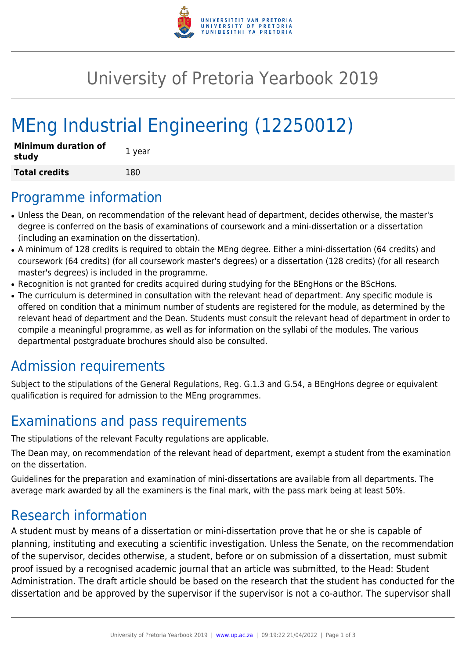

## University of Pretoria Yearbook 2019

# MEng Industrial Engineering (12250012)

| <b>Minimum duration of</b><br>study | 1 year |
|-------------------------------------|--------|
| <b>Total credits</b>                | 180    |

#### Programme information

- Unless the Dean, on recommendation of the relevant head of department, decides otherwise, the master's degree is conferred on the basis of examinations of coursework and a mini-dissertation or a dissertation (including an examination on the dissertation).
- A minimum of 128 credits is required to obtain the MEng degree. Either a mini-dissertation (64 credits) and coursework (64 credits) (for all coursework master's degrees) or a dissertation (128 credits) (for all research master's degrees) is included in the programme.
- Recognition is not granted for credits acquired during studying for the BEngHons or the BScHons.
- The curriculum is determined in consultation with the relevant head of department. Any specific module is offered on condition that a minimum number of students are registered for the module, as determined by the relevant head of department and the Dean. Students must consult the relevant head of department in order to compile a meaningful programme, as well as for information on the syllabi of the modules. The various departmental postgraduate brochures should also be consulted.

## Admission requirements

Subject to the stipulations of the General Regulations, Reg. G.1.3 and G.54, a BEngHons degree or equivalent qualification is required for admission to the MEng programmes.

## Examinations and pass requirements

The stipulations of the relevant Faculty regulations are applicable.

The Dean may, on recommendation of the relevant head of department, exempt a student from the examination on the dissertation.

Guidelines for the preparation and examination of mini-dissertations are available from all departments. The average mark awarded by all the examiners is the final mark, with the pass mark being at least 50%.

## Research information

A student must by means of a dissertation or mini-dissertation prove that he or she is capable of planning, instituting and executing a scientific investigation. Unless the Senate, on the recommendation of the supervisor, decides otherwise, a student, before or on submission of a dissertation, must submit proof issued by a recognised academic journal that an article was submitted, to the Head: Student Administration. The draft article should be based on the research that the student has conducted for the dissertation and be approved by the supervisor if the supervisor is not a co-author. The supervisor shall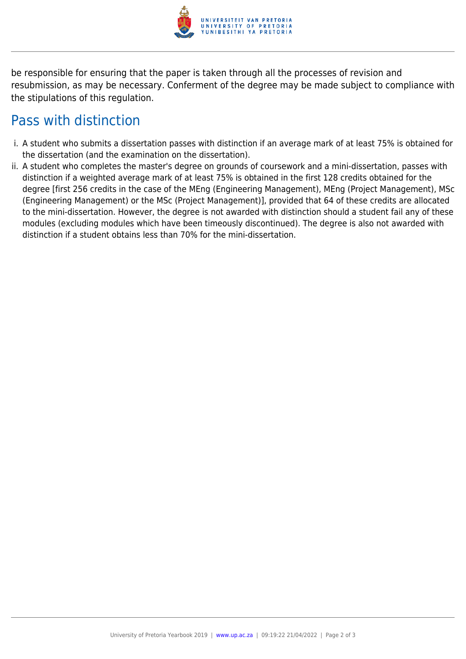

be responsible for ensuring that the paper is taken through all the processes of revision and resubmission, as may be necessary. Conferment of the degree may be made subject to compliance with the stipulations of this regulation.

## Pass with distinction

- i. A student who submits a dissertation passes with distinction if an average mark of at least 75% is obtained for the dissertation (and the examination on the dissertation).
- ii. A student who completes the master's degree on grounds of coursework and a mini-dissertation, passes with distinction if a weighted average mark of at least 75% is obtained in the first 128 credits obtained for the degree [first 256 credits in the case of the MEng (Engineering Management), MEng (Project Management), MSc (Engineering Management) or the MSc (Project Management)], provided that 64 of these credits are allocated to the mini-dissertation. However, the degree is not awarded with distinction should a student fail any of these modules (excluding modules which have been timeously discontinued). The degree is also not awarded with distinction if a student obtains less than 70% for the mini-dissertation.